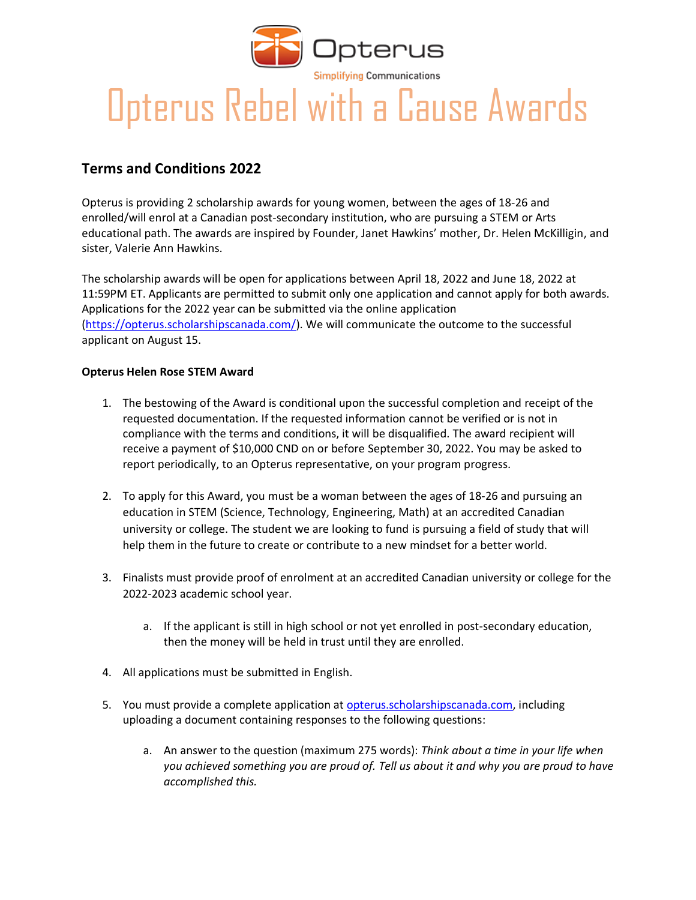

## Opterus Rebel with a Cause Awards

## **Terms and Conditions 2022**

Opterus is providing 2 scholarship awards for young women, between the ages of 18-26 and enrolled/will enrol at a Canadian post-secondary institution, who are pursuing a STEM or Arts educational path. The awards are inspired by Founder, Janet Hawkins' mother, Dr. Helen McKilligin, and sister, Valerie Ann Hawkins.

The scholarship awards will be open for applications between April 18, 2022 and June 18, 2022 at 11:59PM ET. Applicants are permitted to submit only one application and cannot apply for both awards. Applications for the 2022 year can be submitted via the online application [\(https://opterus.scholarshipscanada.com/\)](https://opterus.scholarshipscanada.com/). We will communicate the outcome to the successful applicant on August 15.

## **Opterus Helen Rose STEM Award**

- 1. The bestowing of the Award is conditional upon the successful completion and receipt of the requested documentation. If the requested information cannot be verified or is not in compliance with the terms and conditions, it will be disqualified. The award recipient will receive a payment of \$10,000 CND on or before September 30, 2022. You may be asked to report periodically, to an Opterus representative, on your program progress.
- 2. To apply for this Award, you must be a woman between the ages of 18-26 and pursuing an education in STEM (Science, Technology, Engineering, Math) at an accredited Canadian university or college. The student we are looking to fund is pursuing a field of study that will help them in the future to create or contribute to a new mindset for a better world.
- 3. Finalists must provide proof of enrolment at an accredited Canadian university or college for the 2022-2023 academic school year.
	- a. If the applicant is still in high school or not yet enrolled in post-secondary education, then the money will be held in trust until they are enrolled.
- 4. All applications must be submitted in English.
- 5. You must provide a complete application at [opterus.scholarshipscanada.com,](https://opterus.scholarshipscanada.com/) including uploading a document containing responses to the following questions:
	- a. An answer to the question (maximum 275 words): *Think about a time in your life when you achieved something you are proud of. Tell us about it and why you are proud to have accomplished this.*